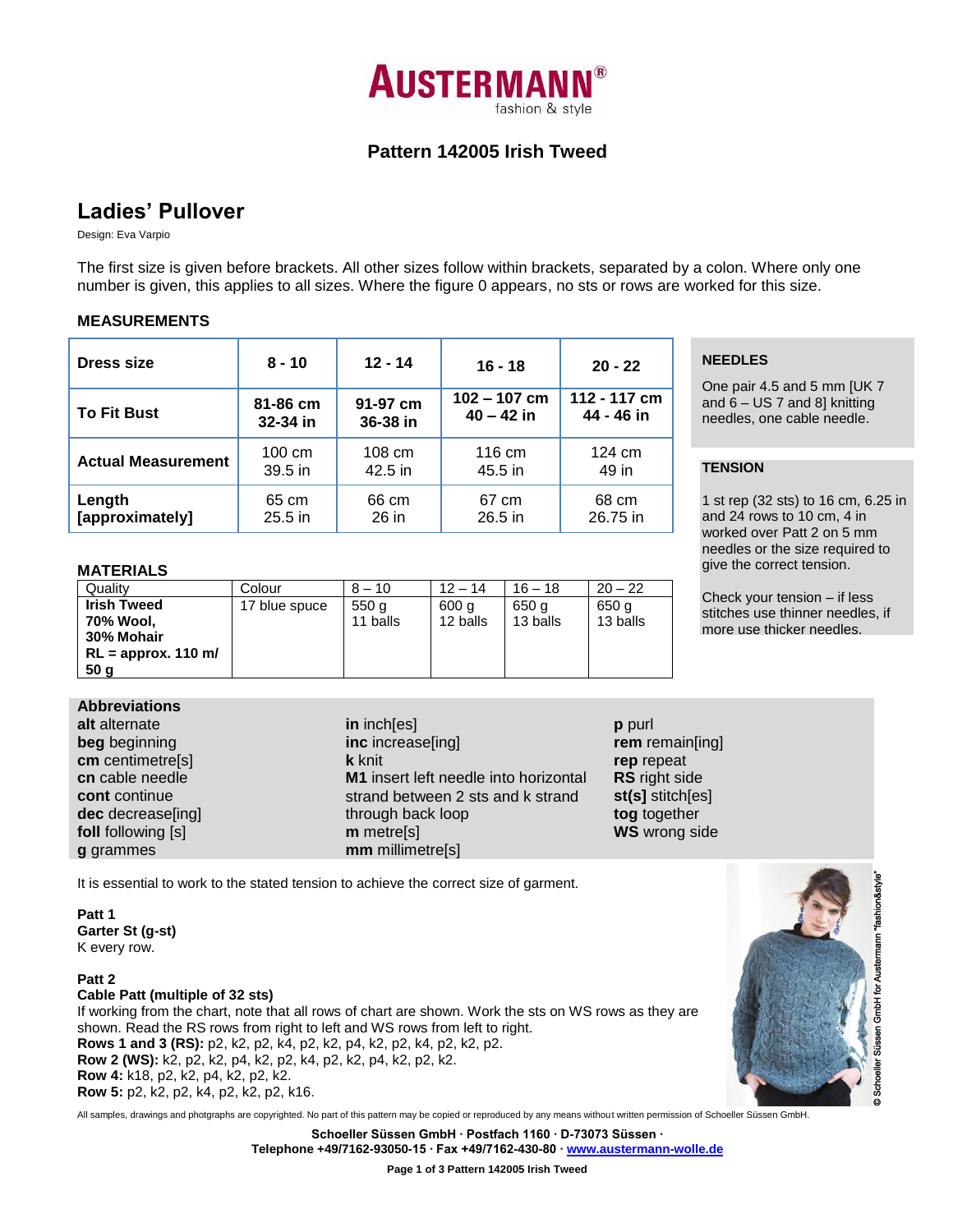

# **Pattern 142005 Irish Tweed**

# **Ladies' Pullover**

Design: Eva Varpio

The first size is given before brackets. All other sizes follow within brackets, separated by a colon. Where only one number is given, this applies to all sizes. Where the figure 0 appears, no sts or rows are worked for this size.

# **MEASUREMENTS**

| Dress size                | $8 - 10$         | $12 - 14$ | $16 - 18$      | $20 - 22$        |  |
|---------------------------|------------------|-----------|----------------|------------------|--|
| <b>To Fit Bust</b>        | 81-86 cm         | 91-97 cm  | $102 - 107$ cm | 112 - 117 cm     |  |
|                           | 32-34 in         | 36-38 in  | $40 - 42$ in   | 44 - 46 in       |  |
| <b>Actual Measurement</b> | $100 \text{ cm}$ | 108 cm    | 116 cm         | $124 \text{ cm}$ |  |
|                           | $39.5$ in        | 42.5 in   | 45.5 in        | 49 in            |  |
| Length                    | 65 cm            | 66 cm     | 67 cm          | 68 cm            |  |
| [approximately]           | $25.5$ in        | 26 in     | $26.5$ in      | 26.75 in         |  |

#### **MATERIALS**

| Quality               | Colour        | $8 - 10$ | $12 - 14$ | $16 - 18$ | $20 - 22$ |
|-----------------------|---------------|----------|-----------|-----------|-----------|
| <b>Irish Tweed</b>    | 17 blue spuce | 550 g    | 600 g     | 650 g     | 650 g     |
| 70% Wool,             |               | 11 balls | 12 balls  | 13 balls  | 13 balls  |
| 30% Mohair            |               |          |           |           |           |
| $RL =$ approx. 110 m/ |               |          |           |           |           |
| 50 <sub>g</sub>       |               |          |           |           |           |

### **Abbreviations**

**alt** alternate **beg** beginning **cm** centimetre[s] **cn** cable needle **cont** continue **dec** decrease[ing] **foll** following [s] **g** grammes

**in** inch[es] **inc** increase[ing] **k** knit **M1** insert left needle into horizontal strand between 2 sts and k strand through back loop **m** metre[s] **mm** millimetre[s]

**p** purl **rem** remain[ing] **rep** repeat **RS** right side **st(s]** stitch[es] **tog** together **WS** wrong side

It is essential to work to the stated tension to achieve the correct size of garment.

**Patt 1 Garter St (g-st)** K every row.

**Patt 2 Cable Patt (multiple of 32 sts)** If working from the chart, note that all rows of chart are shown. Work the sts on WS rows as they are shown. Read the RS rows from right to left and WS rows from left to right. **Rows 1 and 3 (RS):** p2, k2, p2, k4, p2, k2, p4, k2, p2, k4, p2, k2, p2. **Row 2 (WS):** k2, p2, k2, p4, k2, p2, k4, p2, k2, p4, k2, p2, k2. **Row 4:** k18, p2, k2, p4, k2, p2, k2. **Row 5:** p2, k2, p2, k4, p2, k2, p2, k16.

All samples, drawings and photgraphs are copyrighted. No part of this pattern may be copied or reproduced by any means without written permission of Schoeller Süssen GmbH.

**Schoeller Süssen GmbH ∙ Postfach 1160 ∙ D-73073 Süssen ∙ Telephone +49/7162-93050-15 ∙ Fax +49/7162-430-80 [∙ www.austermann-wolle.de](http://www.austermann-wolle.de/)**

**Page 1 of 3 Pattern 142005 Irish Tweed**

# **NEEDLES**

One pair 4.5 and 5 mm [UK 7 and  $6 - US 7$  and 8] knitting needles, one cable needle.

#### One **TENSION**

1 st rep (32 sts) to 16 cm, 6.25 in and 24 rows to 10 cm, 4 in worked over Patt 2 on 5 mm needles or the size required to give the correct tension.

Check your tension – if less stitches use thinner needles, if more use thicker needles.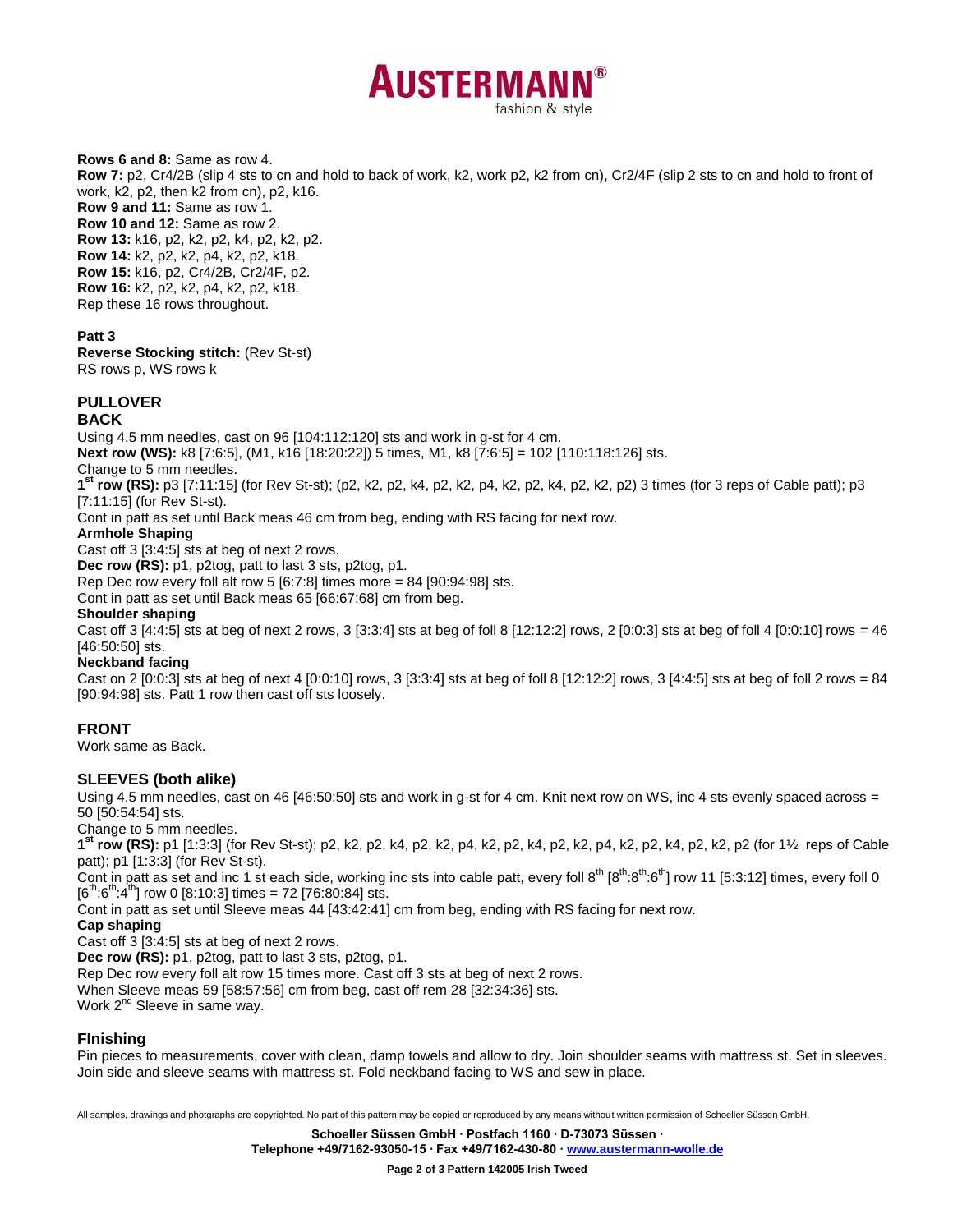

**Rows 6 and 8:** Same as row 4. **Row 7:** p2, Cr4/2B (slip 4 sts to cn and hold to back of work, k2, work p2, k2 from cn), Cr2/4F (slip 2 sts to cn and hold to front of work, k2, p2, then k2 from cn), p2, k16. **Row 9 and 11:** Same as row 1. **Row 10 and 12:** Same as row 2. **Row 13:** k16, p2, k2, p2, k4, p2, k2, p2. **Row 14:** k2, p2, k2, p4, k2, p2, k18. **Row 15:** k16, p2, Cr4/2B, Cr2/4F, p2. **Row 16:** k2, p2, k2, p4, k2, p2, k18.

#### **Patt 3**

**Reverse Stocking stitch:** (Rev St-st) RS rows p, WS rows k

Rep these 16 rows throughout.

# **PULLOVER**

#### **BACK**

Using 4.5 mm needles, cast on 96 [104:112:120] sts and work in g-st for 4 cm.

**Next row (WS):** k8 [7:6:5], (M1, k16 [18:20:22]) 5 times, M1, k8 [7:6:5] = 102 [110:118:126] sts.

Change to 5 mm needles.

**1 st row (RS):** p3 [7:11:15] (for Rev St-st); (p2, k2, p2, k4, p2, k2, p4, k2, p2, k4, p2, k2, p2) 3 times (for 3 reps of Cable patt); p3 [7:11:15] (for Rev St-st).

Cont in patt as set until Back meas 46 cm from beg, ending with RS facing for next row.

#### **Armhole Shaping**

Cast off 3 [3:4:5] sts at beg of next 2 rows.

**Dec row (RS):** p1, p2tog, patt to last 3 sts, p2tog, p1.

Rep Dec row every foll alt row 5 [6:7:8] times more = 84 [90:94:98] sts.

Cont in patt as set until Back meas 65 [66:67:68] cm from beg.

**Shoulder shaping**

Cast off 3 [4:4:5] sts at beg of next 2 rows, 3 [3:3:4] sts at beg of foll 8 [12:12:2] rows, 2 [0:0:3] sts at beg of foll 4 [0:0:10] rows = 46 [46:50:50] sts.

#### **Neckband facing**

Cast on 2 [0:0:3] sts at beg of next 4 [0:0:10] rows, 3 [3:3:4] sts at beg of foll 8 [12:12:2] rows, 3 [4:4:5] sts at beg of foll 2 rows = 84 [90:94:98] sts. Patt 1 row then cast off sts loosely.

# **FRONT**

Work same as Back.

### **SLEEVES (both alike)**

Using 4.5 mm needles, cast on 46 [46:50:50] sts and work in g-st for 4 cm. Knit next row on WS, inc 4 sts evenly spaced across = 50 [50:54:54] sts.

Change to 5 mm needles.

**1 st row (RS):** p1 [1:3:3] (for Rev St-st); p2, k2, p2, k4, p2, k2, p4, k2, p2, k4, p2, k2, p4, k2, p2, k4, p2, k2, p2 (for 1½ reps of Cable patt); p1 [1:3:3] (for Rev St-st).

Cont in patt as set and inc 1 st each side, working inc sts into cable patt, every foll  $8^{th} \cdot 8^{th} \cdot 8^{th} \cdot 8^{th}$  row 11 [5:3:12] times, every foll 0  $[6^{th}.6^{th}.4^{th}]$  row 0 [8:10:3] times = 72 [76:80:84] sts.

Cont in patt as set until Sleeve meas 44 [43:42:41] cm from beg, ending with RS facing for next row.

**Cap shaping**

Cast off 3 [3:4:5] sts at beg of next 2 rows.

**Dec row (RS):** p1, p2tog, patt to last 3 sts, p2tog, p1.

Rep Dec row every foll alt row 15 times more. Cast off 3 sts at beg of next 2 rows.

When Sleeve meas 59 [58:57:56] cm from beg, cast off rem 28 [32:34:36] sts.

Work 2<sup>nd</sup> Sleeve in same way.

# **FInishing**

Pin pieces to measurements, cover with clean, damp towels and allow to dry. Join shoulder seams with mattress st. Set in sleeves. Join side and sleeve seams with mattress st. Fold neckband facing to WS and sew in place.

All samples, drawings and photgraphs are copyrighted. No part of this pattern may be copied or reproduced by any means without written permission of Schoeller Süssen GmbH.